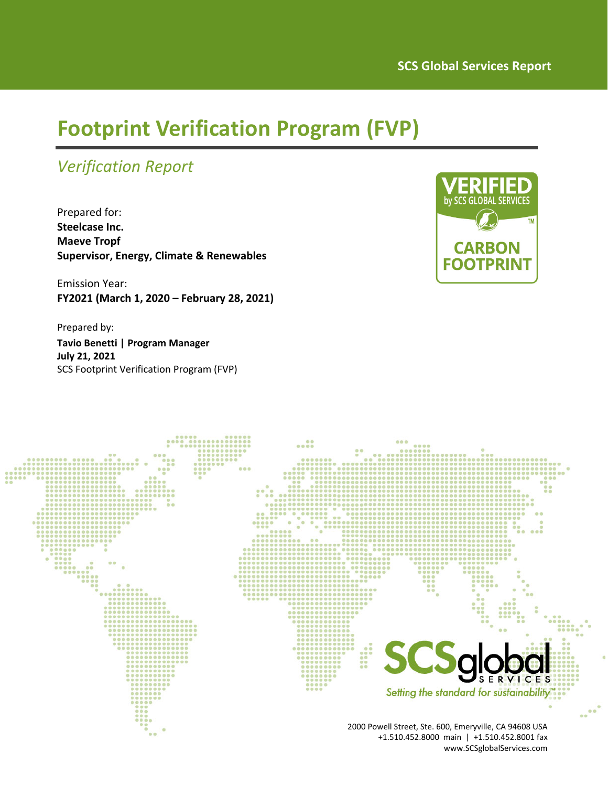# **Footprint Verification Program (FVP)**

## *Verification Report*

Prepared for: **Steelcase Inc. Maeve Tropf Supervisor, Energy, Climate & Renewables**

Emission Year: **FY2021 (March 1, 2020 – February 28, 2021)**

Prepared by: **Tavio Benetti | Program Manager July 21, 2021** SCS Footprint Verification Program (FVP)



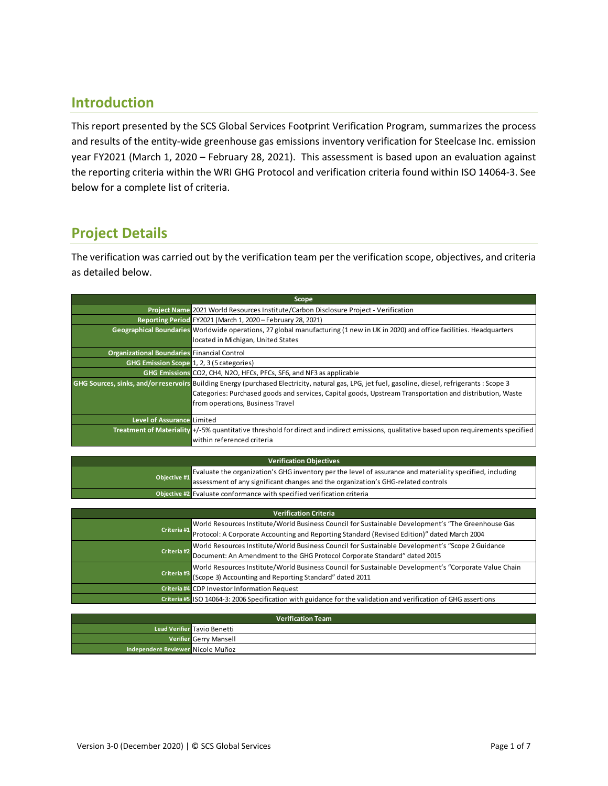#### **Introduction**

This report presented by the SCS Global Services Footprint Verification Program, summarizes the process and results of the entity-wide greenhouse gas emissions inventory verification for Steelcase Inc. emission year FY2021 (March 1, 2020 – February 28, 2021). This assessment is based upon an evaluation against the reporting criteria within the WRI GHG Protocol and verification criteria found within ISO 14064‐3. See below for a complete list of criteria.

### **Project Details**

The verification was carried out by the verification team per the verification scope, objectives, and criteria as detailed below.

| Scope                                                       |                                                                                                                                                    |  |  |  |  |
|-------------------------------------------------------------|----------------------------------------------------------------------------------------------------------------------------------------------------|--|--|--|--|
|                                                             | Project Name 2021 World Resources Institute/Carbon Disclosure Project - Verification                                                               |  |  |  |  |
| Reporting Period FY2021 (March 1, 2020 - February 28, 2021) |                                                                                                                                                    |  |  |  |  |
|                                                             | Geographical Boundaries Worldwide operations, 27 global manufacturing (1 new in UK in 2020) and office facilities. Headquarters                    |  |  |  |  |
|                                                             | located in Michigan, United States                                                                                                                 |  |  |  |  |
| <b>Organizational Boundaries Financial Control</b>          |                                                                                                                                                    |  |  |  |  |
| GHG Emission Scope 1, 2, 3 (5 categories)                   |                                                                                                                                                    |  |  |  |  |
|                                                             | GHG Emissions CO2, CH4, N2O, HFCs, PFCs, SF6, and NF3 as applicable                                                                                |  |  |  |  |
|                                                             | GHG Sources, sinks, and/or reservoirs Building Energy (purchased Electricity, natural gas, LPG, jet fuel, gasoline, diesel, refrigerants : Scope 3 |  |  |  |  |
|                                                             | Categories: Purchased goods and services, Capital goods, Upstream Transportation and distribution, Waste                                           |  |  |  |  |
|                                                             | from operations, Business Travel                                                                                                                   |  |  |  |  |
| <b>Level of Assurance Limited</b>                           |                                                                                                                                                    |  |  |  |  |
|                                                             | Treatment of Materiality +/-5% quantitative threshold for direct and indirect emissions, qualitative based upon requirements specified             |  |  |  |  |
|                                                             | within referenced criteria                                                                                                                         |  |  |  |  |

| Verification Objectives |                                                                                                                                                                                                             |  |  |  |
|-------------------------|-------------------------------------------------------------------------------------------------------------------------------------------------------------------------------------------------------------|--|--|--|
|                         | Evaluate the organization's GHG inventory per the level of assurance and materiality specified, including<br>Objective #1 assessment of any significant changes and the organization's GHG-related controls |  |  |  |
|                         | <b>Objective #2</b> Evaluate conformance with specified verification criteria                                                                                                                               |  |  |  |

| <b>Verification Criteria</b> |                                                                                                                                                                                                   |  |  |  |  |
|------------------------------|---------------------------------------------------------------------------------------------------------------------------------------------------------------------------------------------------|--|--|--|--|
| Criteria #1                  | World Resources Institute/World Business Council for Sustainable Development's "The Greenhouse Gas<br>Protocol: A Corporate Accounting and Reporting Standard (Revised Edition)" dated March 2004 |  |  |  |  |
| Criteria #2                  | World Resources Institute/World Business Council for Sustainable Development's "Scope 2 Guidance<br>Document: An Amendment to the GHG Protocol Corporate Standard" dated 2015                     |  |  |  |  |
| Criteria #3                  | World Resources Institute/World Business Council for Sustainable Development's "Corporate Value Chain<br>(Scope 3) Accounting and Reporting Standard" dated 2011                                  |  |  |  |  |
|                              | Criteria #4 CDP Investor Information Request                                                                                                                                                      |  |  |  |  |
|                              | Criteria #5 ISO 14064-3: 2006 Specification with guidance for the validation and verification of GHG assertions                                                                                   |  |  |  |  |

| <b>Verification Team</b>          |                             |  |  |  |  |
|-----------------------------------|-----------------------------|--|--|--|--|
|                                   | Lead Verifier Tavio Benetti |  |  |  |  |
|                                   | Verifier Gerry Mansell      |  |  |  |  |
| Independent Reviewer Nicole Muñoz |                             |  |  |  |  |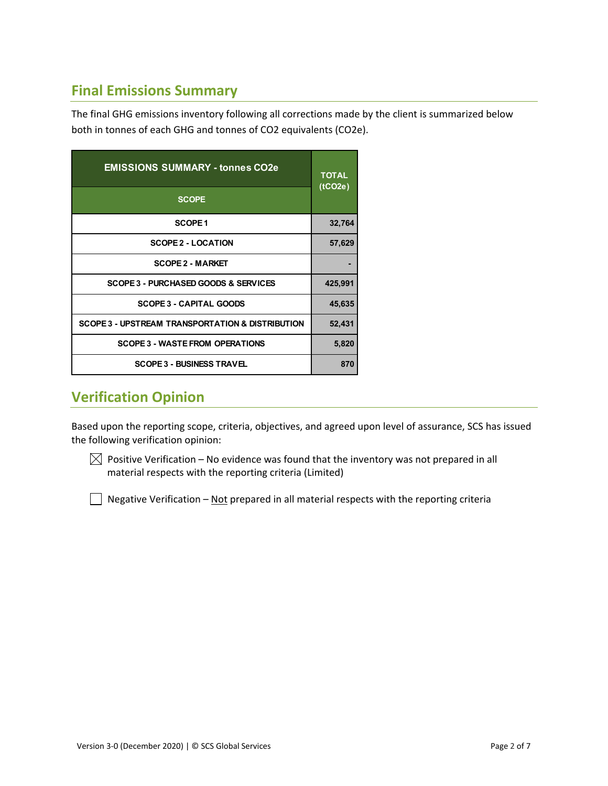### **Final Emissions Summary**

The final GHG emissions inventory following all corrections made by the client is summarized below both in tonnes of each GHG and tonnes of CO2 equivalents (CO2e).

| <b>EMISSIONS SUMMARY - tonnes CO2e</b>           | <b>TOTAL</b><br>(tCO2e) |  |
|--------------------------------------------------|-------------------------|--|
| <b>SCOPE</b>                                     |                         |  |
| SCOPE <sub>1</sub>                               | 32,764                  |  |
| <b>SCOPE 2 - LOCATION</b>                        | 57,629                  |  |
| <b>SCOPE 2 - MARKET</b>                          |                         |  |
| SCOPE 3 - PURCHASED GOODS & SERVICES             | 425,991                 |  |
| <b>SCOPE 3 - CAPITAL GOODS</b>                   | 45,635                  |  |
| SCOPE 3 - UPSTREAM TRANSPORTATION & DISTRIBUTION | 52,431                  |  |
| <b>SCOPE 3 - WASTE FROM OPERATIONS</b>           | 5,820                   |  |
| <b>SCOPE 3 - BUSINESS TRAVEL</b>                 | 870                     |  |

### **Verification Opinion**

Based upon the reporting scope, criteria, objectives, and agreed upon level of assurance, SCS has issued the following verification opinion:

 $\boxtimes$  Positive Verification – No evidence was found that the inventory was not prepared in all material respects with the reporting criteria (Limited)

 $\Box$  Negative Verification – Not prepared in all material respects with the reporting criteria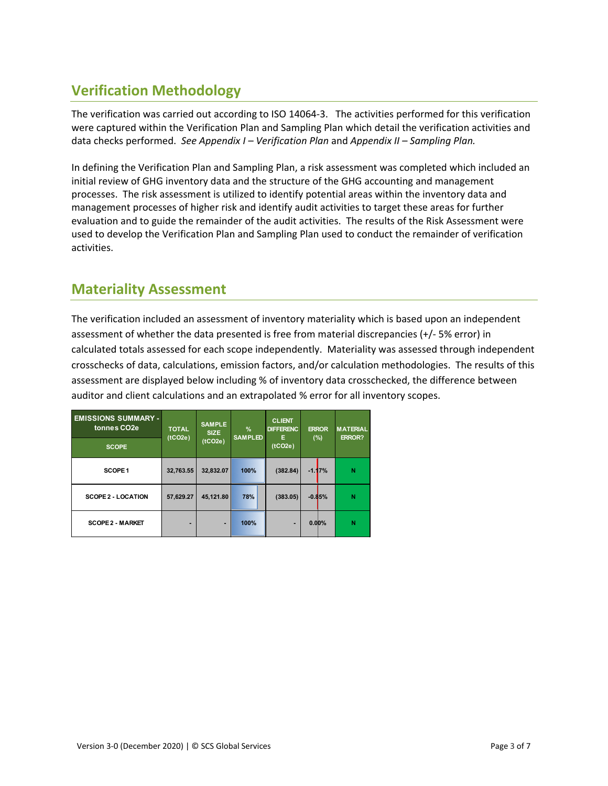### **Verification Methodology**

The verification was carried out according to ISO 14064-3. The activities performed for this verification were captured within the Verification Plan and Sampling Plan which detail the verification activities and data checks performed. *See Appendix I – Verification Plan* and *Appendix II – Sampling Plan.* 

In defining the Verification Plan and Sampling Plan, a risk assessment was completed which included an initial review of GHG inventory data and the structure of the GHG accounting and management processes. The risk assessment is utilized to identify potential areas within the inventory data and management processes of higher risk and identify audit activities to target these areas for further evaluation and to guide the remainder of the audit activities. The results of the Risk Assessment were used to develop the Verification Plan and Sampling Plan used to conduct the remainder of verification activities.

#### **Materiality Assessment**

The verification included an assessment of inventory materiality which is based upon an independent assessment of whether the data presented is free from material discrepancies (+/‐ 5% error) in calculated totals assessed for each scope independently. Materiality was assessed through independent crosschecks of data, calculations, emission factors, and/or calculation methodologies. The results of this assessment are displayed below including % of inventory data crosschecked, the difference between auditor and client calculations and an extrapolated % error for all inventory scopes.

| <b>EMISSIONS SUMMARY -</b><br>tonnes CO <sub>2e</sub><br><b>SCOPE</b> | <b>SAMPLE</b><br><b>TOTAL</b><br><b>SIZE</b><br>(tCO2e)<br>(tCO2e) |           | %<br><b>SAMPLED</b> | <b>CLIENT</b><br><b>DIFFERENC</b><br>Е<br>(tCO2e) | <b>ERROR</b><br>(%) |          | <b>MATERIAL</b><br><b>ERROR?</b> |  |
|-----------------------------------------------------------------------|--------------------------------------------------------------------|-----------|---------------------|---------------------------------------------------|---------------------|----------|----------------------------------|--|
|                                                                       |                                                                    |           |                     |                                                   |                     |          |                                  |  |
| SCOPE <sub>1</sub>                                                    | 32,763.55                                                          | 32,832.07 | 100%                | (382.84)                                          |                     | $-1.17%$ | N                                |  |
| <b>SCOPE 2 - LOCATION</b>                                             | 57,629.27                                                          | 45,121.80 | 78%                 | (383.05)                                          |                     | $-0.85%$ | N                                |  |
| <b>SCOPE 2 - MARKET</b>                                               |                                                                    | ٠         | 100%                | -                                                 |                     | 0.00%    | N                                |  |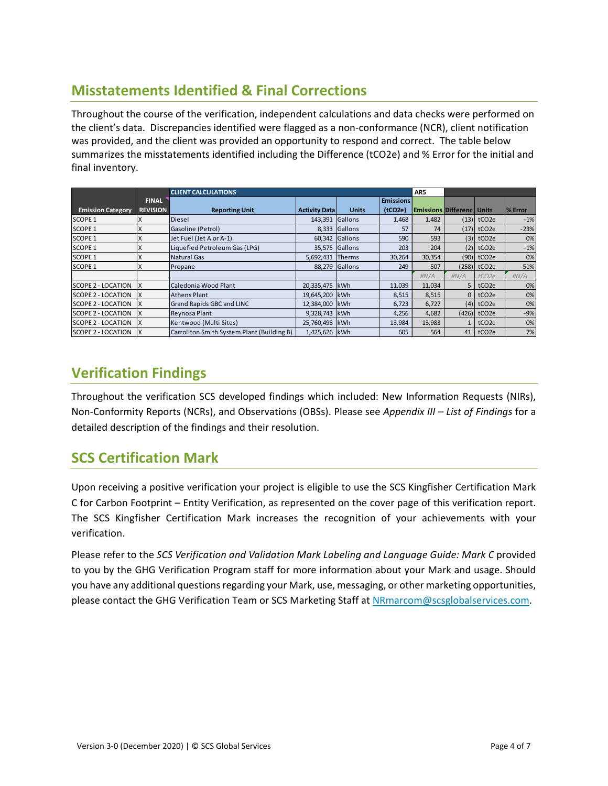### **Misstatements Identified & Final Corrections**

Throughout the course of the verification, independent calculations and data checks were performed on the client's data. Discrepancies identified were flagged as a non‐conformance (NCR), client notification was provided, and the client was provided an opportunity to respond and correct. The table below summarizes the misstatements identified including the Difference (tCO2e) and % Error for the initial and final inventory.

|                           |                 | <b>CLIENT CALCULATIONS</b>                 |                      |               |                  | AR5                                |                |                           |         |
|---------------------------|-----------------|--------------------------------------------|----------------------|---------------|------------------|------------------------------------|----------------|---------------------------|---------|
|                           | <b>FINAL</b>    |                                            |                      |               | <b>Emissions</b> |                                    |                |                           |         |
| <b>Emission Category</b>  | <b>REVISION</b> | <b>Reporting Unit</b>                      | <b>Activity Data</b> | <b>Units</b>  | (tCO2e)          | <b>Emissions Differenc   Units</b> |                |                           | % Error |
| <b>SCOPE 1</b>            |                 | Diesel                                     | 143,391              | Gallons       | 1,468            | 1,482                              |                | $(13)$ tCO2e              | $-1%$   |
| <b>SCOPE 1</b>            |                 | Gasoline (Petrol)                          | 8,333                | Gallons       | 57               | 74                                 |                | $(17)$ tCO2e              | $-23%$  |
| <b>SCOPE 1</b>            |                 | Jet Fuel (Jet A or A-1)                    | 60,342               | Gallons       | 590              | 593                                |                | $(3)$ tCO <sub>2e</sub>   | 0%      |
| <b>SCOPE 1</b>            |                 | Liquefied Petroleum Gas (LPG)              | 35,575               | Gallons       | 203              | 204                                |                | $(2)$ tCO <sub>2</sub> e  | $-1%$   |
| <b>SCOPE 1</b>            |                 | Natural Gas                                | 5,692,431            | <b>Therms</b> | 30,264           | 30,354                             |                | $(90)$ tCO <sub>2e</sub>  | 0%      |
| <b>SCOPE 1</b>            |                 | Propane                                    | 88.279               | Gallons       | 249              | 507                                |                | $(258)$ tCO <sub>2e</sub> | $-51%$  |
|                           |                 |                                            |                      |               |                  | H N/A                              | H N/A          | tCO <sub>2e</sub>         | H N/A   |
| SCOPE 2 - LOCATION        |                 | Caledonia Wood Plant                       | 20,335,475           | kWh           | 11,039           | 11,034                             | 5 <sup>1</sup> | tCO <sub>2e</sub>         | 0%      |
| SCOPE 2 - LOCATION        | ΙX              | <b>Athens Plant</b>                        | 19,645,200 kWh       |               | 8,515            | 8,515                              | $\Omega$       | tCO <sub>2e</sub>         | 0%      |
| <b>SCOPE 2 - LOCATION</b> |                 | Grand Rapids GBC and LINC                  | 12,384,000 kWh       |               | 6,723            | 6,727                              | (4)            | tCO <sub>2e</sub>         | 0%      |
| <b>SCOPE 2 - LOCATION</b> |                 | Reynosa Plant                              | 9,328,743 kWh        |               | 4,256            | 4,682                              |                | $(426)$ tCO <sub>2e</sub> | $-9%$   |
| <b>SCOPE 2 - LOCATION</b> |                 | Kentwood (Multi Sites)                     | 25,760,498 kWh       |               | 13,984           | 13,983                             |                | tCO <sub>2e</sub>         | 0%      |
| <b>SCOPE 2 - LOCATION</b> | IX              | Carrollton Smith System Plant (Building B) | 1,425,626 kWh        |               | 605              | 564                                | 41 I           | tCO <sub>2e</sub>         | 7%      |

### **Verification Findings**

Throughout the verification SCS developed findings which included: New Information Requests (NIRs), Non‐Conformity Reports (NCRs), and Observations (OBSs). Please see *Appendix III – List of Findings* for a detailed description of the findings and their resolution.

### **SCS Certification Mark**

Upon receiving a positive verification your project is eligible to use the SCS Kingfisher Certification Mark C for Carbon Footprint – Entity Verification, as represented on the cover page of this verification report. The SCS Kingfisher Certification Mark increases the recognition of your achievements with your verification.

Please refer to the *SCS Verification and Validation Mark Labeling and Language Guide: Mark C* provided to you by the GHG Verification Program staff for more information about your Mark and usage. Should you have any additional questions regarding your Mark, use, messaging, or other marketing opportunities, please contact the GHG Verification Team or SCS Marketing Staff at NRmarcom@scsglobalservices.com.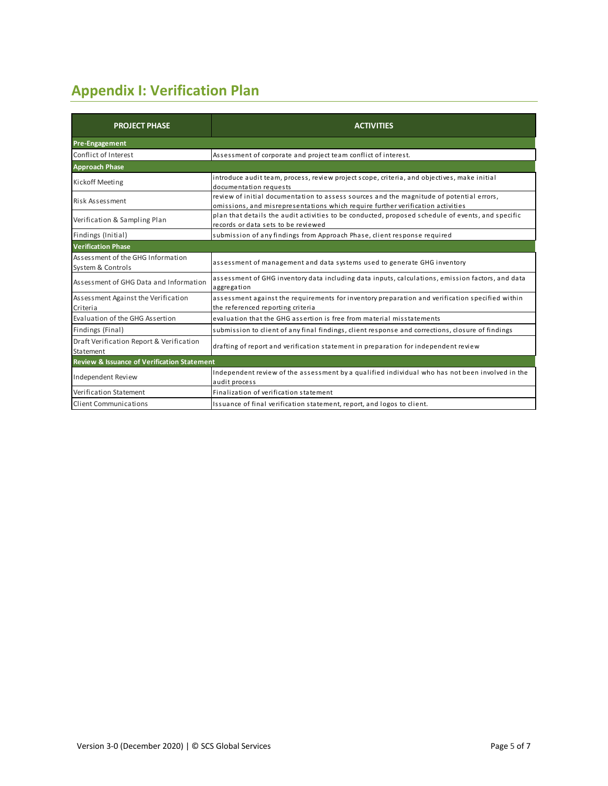# **Appendix I: Verification Plan**

| <b>PROJECT PHASE</b>                                   | <b>ACTIVITIES</b>                                                                                                                                                           |
|--------------------------------------------------------|-----------------------------------------------------------------------------------------------------------------------------------------------------------------------------|
| <b>Pre-Engagement</b>                                  |                                                                                                                                                                             |
| Conflict of Interest                                   | Assessment of corporate and project team conflict of interest.                                                                                                              |
| <b>Approach Phase</b>                                  |                                                                                                                                                                             |
| Kickoff Meeting                                        | introduce audit team, process, review project scope, criteria, and objectives, make initial<br>documentation requests                                                       |
| Risk Assessment                                        | review of initial documentation to assess sources and the magnitude of potential errors,<br>omissions, and misrepresentations which require further verification activities |
| Verification & Sampling Plan                           | plan that details the audit activities to be conducted, proposed schedule of events, and specific<br>records or data sets to be reviewed                                    |
| Findings (Initial)                                     | submission of any findings from Approach Phase, client response required                                                                                                    |
| <b>Verification Phase</b>                              |                                                                                                                                                                             |
| Assessment of the GHG Information<br>System & Controls | assessment of management and data systems used to generate GHG inventory                                                                                                    |
| Assessment of GHG Data and Information                 | assessment of GHG inventory data including data inputs, calculations, emission factors, and data<br>aggregation                                                             |
| Assessment Against the Verification<br>Criteria        | assessment against the requirements for inventory preparation and verification specified within<br>the referenced reporting criteria                                        |
| Evaluation of the GHG Assertion                        | evaluation that the GHG assertion is free from material misstatements                                                                                                       |
| Findings (Final)                                       | submission to client of any final findings, client response and corrections, closure of findings                                                                            |
| Draft Verification Report & Verification<br>Statement  | drafting of report and verification statement in preparation for independent review                                                                                         |
| <b>Review &amp; Issuance of Verification Statement</b> |                                                                                                                                                                             |
| Independent Review                                     | Independent review of the assessment by a qualified individual who has not been involved in the<br>audit process                                                            |
| Verification Statement                                 | Finalization of verification statement                                                                                                                                      |
| <b>Client Communications</b>                           | Issuance of final verification statement, report, and logos to client.                                                                                                      |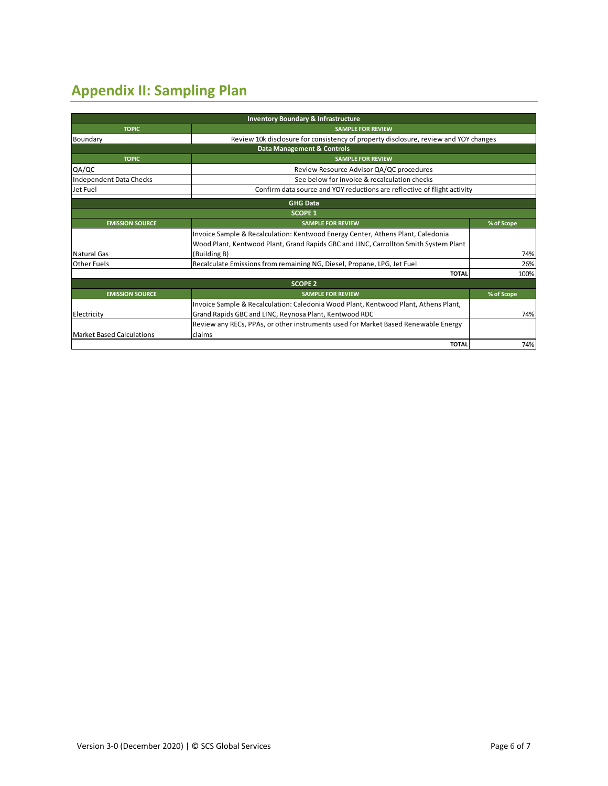# **Appendix II: Sampling Plan**

|                                  | <b>Inventory Boundary &amp; Infrastructure</b>                                       |            |  |  |  |  |
|----------------------------------|--------------------------------------------------------------------------------------|------------|--|--|--|--|
| <b>TOPIC</b>                     | <b>SAMPLE FOR REVIEW</b>                                                             |            |  |  |  |  |
| Boundary                         | Review 10k disclosure for consistency of property disclosure, review and YOY changes |            |  |  |  |  |
|                                  | Data Management & Controls                                                           |            |  |  |  |  |
| <b>TOPIC</b>                     | <b>SAMPLE FOR REVIEW</b>                                                             |            |  |  |  |  |
| QA/QC                            | Review Resource Advisor QA/QC procedures                                             |            |  |  |  |  |
| Independent Data Checks          | See below for invoice & recalculation checks                                         |            |  |  |  |  |
| Jet Fuel                         | Confirm data source and YOY reductions are reflective of flight activity             |            |  |  |  |  |
|                                  | <b>GHG Data</b>                                                                      |            |  |  |  |  |
|                                  | <b>SCOPE 1</b>                                                                       |            |  |  |  |  |
| <b>EMISSION SOURCE</b>           | <b>SAMPLE FOR REVIEW</b>                                                             | % of Scope |  |  |  |  |
|                                  | Invoice Sample & Recalculation: Kentwood Energy Center, Athens Plant, Caledonia      |            |  |  |  |  |
|                                  | Wood Plant, Kentwood Plant, Grand Rapids GBC and LINC, Carrollton Smith System Plant |            |  |  |  |  |
| <b>Natural Gas</b>               | (Building B)                                                                         | 74%        |  |  |  |  |
| Other Fuels                      | Recalculate Emissions from remaining NG, Diesel, Propane, LPG, Jet Fuel              | 26%        |  |  |  |  |
|                                  | <b>TOTAL</b>                                                                         | 100%       |  |  |  |  |
|                                  | <b>SCOPE 2</b>                                                                       |            |  |  |  |  |
| <b>EMISSION SOURCE</b>           | <b>SAMPLE FOR REVIEW</b>                                                             | % of Scope |  |  |  |  |
|                                  | Invoice Sample & Recalculation: Caledonia Wood Plant, Kentwood Plant, Athens Plant,  |            |  |  |  |  |
| Electricity                      | Grand Rapids GBC and LINC, Reynosa Plant, Kentwood RDC                               | 74%        |  |  |  |  |
|                                  | Review any RECs, PPAs, or other instruments used for Market Based Renewable Energy   |            |  |  |  |  |
| <b>Market Based Calculations</b> | claims                                                                               |            |  |  |  |  |
|                                  | <b>TOTAL</b>                                                                         | 74%        |  |  |  |  |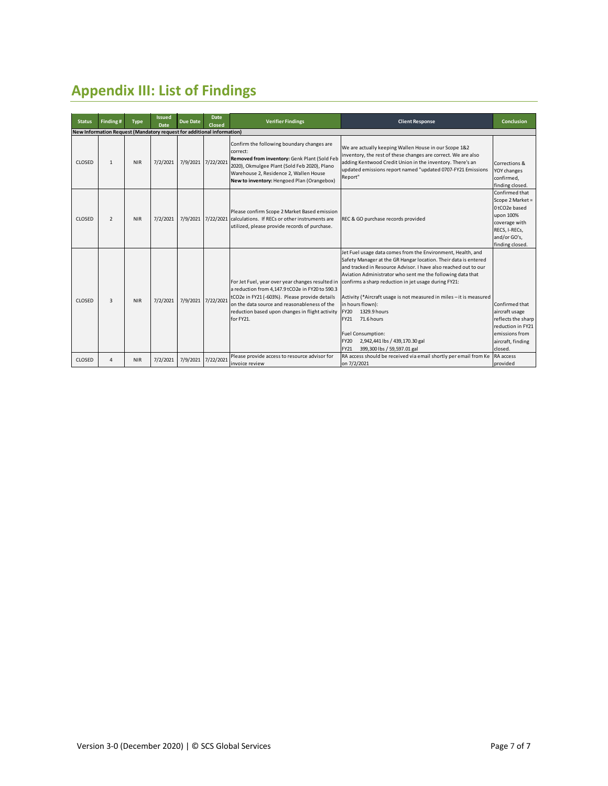# **Appendix III: List of Findings**

| <b>Status</b> | Finding#                                                               | <b>Type</b> | <b>Issued</b><br>Date | <b>Due Date</b> | <b>Date</b><br>Closed | <b>Verifier Findings</b>                                                                                                                                                                                                                                             | <b>Client Response</b>                                                                                                                                                                                                                                                                                                                                                                                                                                                                                                                                                                      | Conclusion                                                                                                                           |
|---------------|------------------------------------------------------------------------|-------------|-----------------------|-----------------|-----------------------|----------------------------------------------------------------------------------------------------------------------------------------------------------------------------------------------------------------------------------------------------------------------|---------------------------------------------------------------------------------------------------------------------------------------------------------------------------------------------------------------------------------------------------------------------------------------------------------------------------------------------------------------------------------------------------------------------------------------------------------------------------------------------------------------------------------------------------------------------------------------------|--------------------------------------------------------------------------------------------------------------------------------------|
|               | New Information Request (Mandatory request for additional information) |             |                       |                 |                       |                                                                                                                                                                                                                                                                      |                                                                                                                                                                                                                                                                                                                                                                                                                                                                                                                                                                                             |                                                                                                                                      |
| <b>CLOSED</b> | $\mathbf{1}$                                                           | <b>NIR</b>  | 7/2/2021              | 7/9/2021        | 7/22/2021             | Confirm the following boundary changes are<br>correct:<br>Removed from inventory: Genk Plant (Sold Feb<br>2020), Okmulgee Plant (Sold Feb 2020), Plano<br>Warehouse 2, Residence 2, Wallen House<br>New to inventory: Hengoed Plan (Orangebox)                       | We are actually keeping Wallen House in our Scope 1&2<br>inventory, the rest of these changes are correct. We are also<br>adding Kentwood Credit Union in the inventory. There's an<br>updated emissions report named "updated 0707-FY21 Emissions<br>Report"                                                                                                                                                                                                                                                                                                                               | Corrections &<br>YOY changes<br>confirmed,<br>finding closed.                                                                        |
| CLOSED        | $\overline{2}$                                                         | <b>NIR</b>  | 7/2/2021              | 7/9/2021        |                       | Please confirm Scope 2 Market Based emission<br>7/22/2021 calculations. If RECs or other instruments are<br>utilized, please provide records of purchase.                                                                                                            | REC & GO purchase records provided                                                                                                                                                                                                                                                                                                                                                                                                                                                                                                                                                          | Confirmed that<br>Scope 2 Market =<br>0tCO2e based<br>upon 100%<br>coverage with<br>RECS, I-RECs,<br>and/or GO's,<br>finding closed. |
| <b>CLOSED</b> | 3                                                                      | <b>NIR</b>  | 7/2/2021              | 7/9/2021        | 7/22/2021             | For Jet Fuel, year over year changes resulted in<br>a reduction from 4,147.9 tCO2e in FY20 to 590.3<br>tCO2e in FY21 (-603%). Please provide details<br>on the data source and reasonableness of the<br>reduction based upon changes in flight activity<br>for FY21. | Jet Fuel usage data comes from the Environment, Health, and<br>Safety Manager at the GR Hangar location. Their data is entered<br>and tracked in Resource Advisor. I have also reached out to our<br>Aviation Administrator who sent me the following data that<br>confirms a sharp reduction in jet usage during FY21:<br>Activity (*Aircraft usage is not measured in miles - it is measured<br>in hours flown):<br>1329.9 hours<br><b>FY20</b><br>71.6 hours<br>FY21<br><b>Fuel Consumption:</b><br><b>FY20</b><br>2,942,441 lbs / 439,170.30 gal<br>FY21<br>399,300 lbs / 59,597.01 gal | Confirmed that<br>aircraft usage<br>reflects the sharp<br>reduction in FY21<br>emissions from<br>aircraft, finding<br>closed.        |
| CLOSED        | 4                                                                      | <b>NIR</b>  | 7/2/2021              | 7/9/2021        | 7/22/2021             | Please provide access to resource advisor for<br>invoice review                                                                                                                                                                                                      | RA access should be received via email shortly per email from Ke<br>on 7/2/2021                                                                                                                                                                                                                                                                                                                                                                                                                                                                                                             | RA access<br>provided                                                                                                                |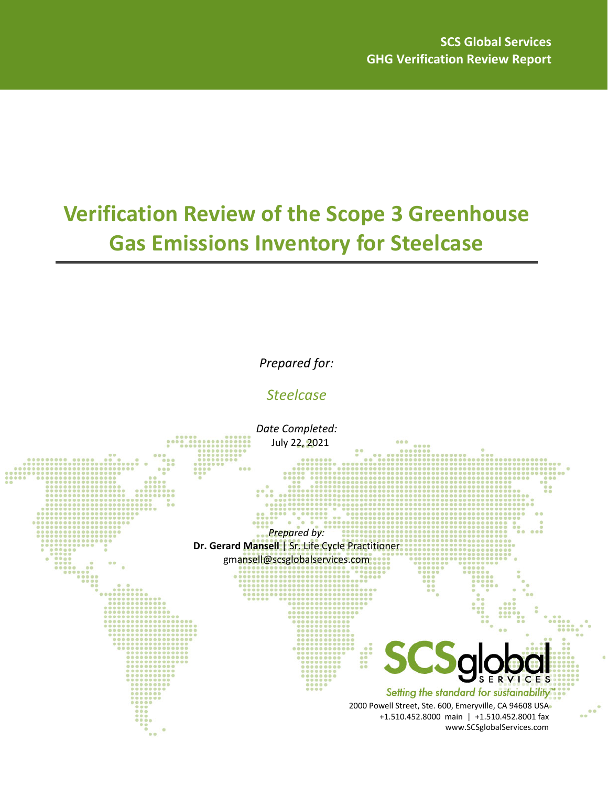# **Verification Review of the Scope 3 Greenhouse Gas Emissions Inventory for Steelcase**

*Prepared for:*

*Steelcase*

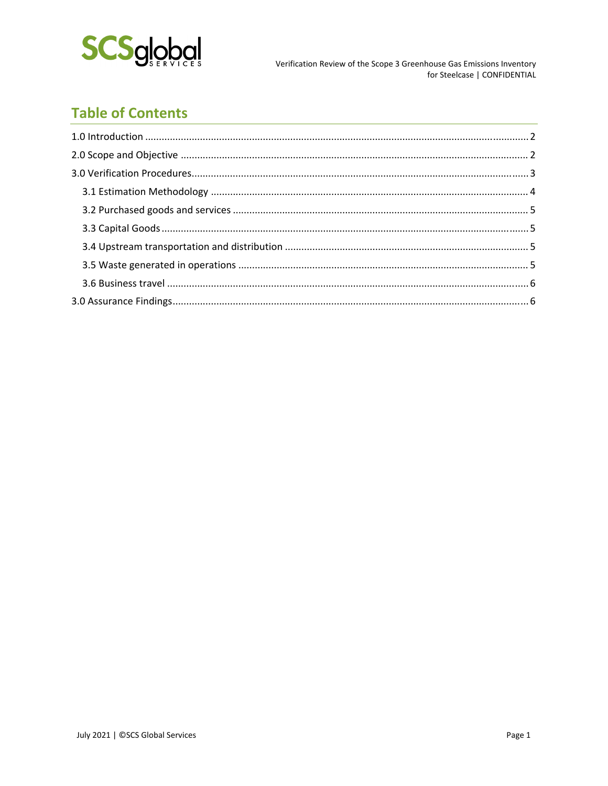

# **Table of Contents**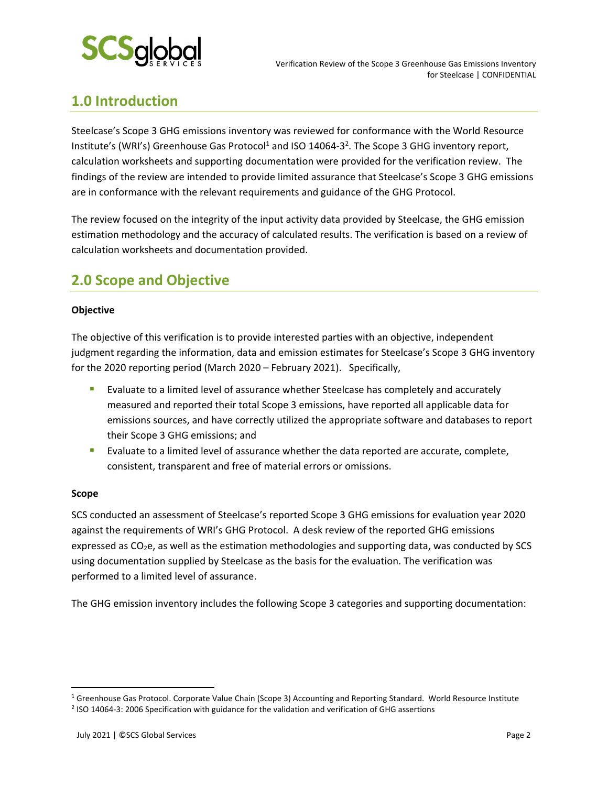

### **1.0 Introduction**

Steelcase's Scope 3 GHG emissions inventory was reviewed for conformance with the World Resource Institute's (WRI's) Greenhouse Gas Protocol<sup>1</sup> and ISO 14064-3<sup>2</sup>. The Scope 3 GHG inventory report, calculation worksheets and supporting documentation were provided for the verification review. The findings of the review are intended to provide limited assurance that Steelcase's Scope 3 GHG emissions are in conformance with the relevant requirements and guidance of the GHG Protocol.

The review focused on the integrity of the input activity data provided by Steelcase, the GHG emission estimation methodology and the accuracy of calculated results. The verification is based on a review of calculation worksheets and documentation provided.

### **2.0 Scope and Objective**

#### **Objective**

The objective of this verification is to provide interested parties with an objective, independent judgment regarding the information, data and emission estimates for Steelcase's Scope 3 GHG inventory for the 2020 reporting period (March 2020 – February 2021). Specifically,

- **Exaluate to a limited level of assurance whether Steelcase has completely and accurately** measured and reported their total Scope 3 emissions, have reported all applicable data for emissions sources, and have correctly utilized the appropriate software and databases to report their Scope 3 GHG emissions; and
- **Exaluate to a limited level of assurance whether the data reported are accurate, complete,** consistent, transparent and free of material errors or omissions.

#### **Scope**

SCS conducted an assessment of Steelcase's reported Scope 3 GHG emissions for evaluation year 2020 against the requirements of WRI's GHG Protocol. A desk review of the reported GHG emissions expressed as CO<sub>2</sub>e, as well as the estimation methodologies and supporting data, was conducted by SCS using documentation supplied by Steelcase as the basis for the evaluation. The verification was performed to a limited level of assurance.

The GHG emission inventory includes the following Scope 3 categories and supporting documentation:

<sup>&</sup>lt;sup>1</sup> Greenhouse Gas Protocol. Corporate Value Chain (Scope 3) Accounting and Reporting Standard. World Resource Institute

<sup>2</sup> ISO 14064‐3: 2006 Specification with guidance for the validation and verification of GHG assertions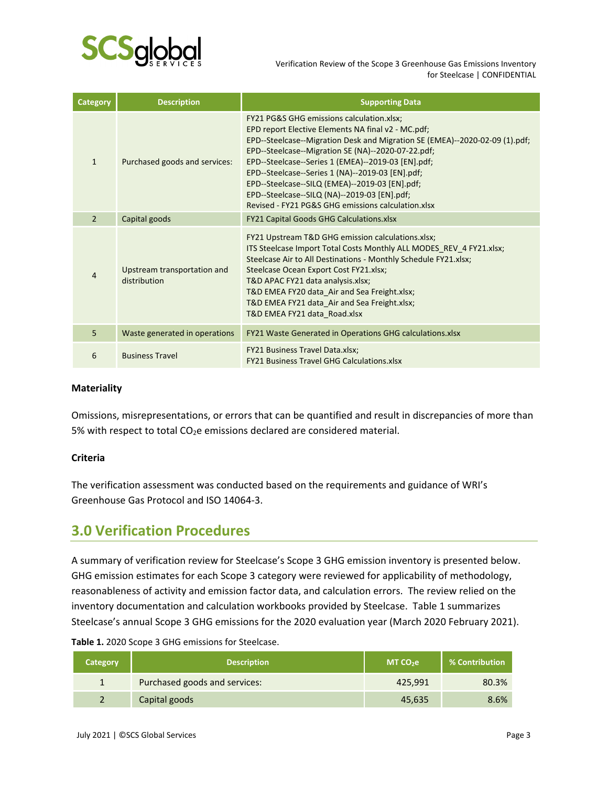

 Verification Review of the Scope 3 Greenhouse Gas Emissions Inventory for Steelcase | CONFIDENTIAL

| <b>Category</b> | <b>Description</b>                          | <b>Supporting Data</b>                                                                                                                                                                                                                                                                                                                                                                                                                                                                                            |
|-----------------|---------------------------------------------|-------------------------------------------------------------------------------------------------------------------------------------------------------------------------------------------------------------------------------------------------------------------------------------------------------------------------------------------------------------------------------------------------------------------------------------------------------------------------------------------------------------------|
| $\mathbf{1}$    | Purchased goods and services:               | <b>FY21 PG&amp;S GHG emissions calculation.xlsx;</b><br>EPD report Elective Elements NA final v2 - MC.pdf;<br>EPD--Steelcase--Migration Desk and Migration SE (EMEA)--2020-02-09 (1).pdf;<br>EPD--Steelcase--Migration SE (NA)--2020-07-22.pdf;<br>EPD--Steelcase--Series 1 (EMEA)--2019-03 [EN].pdf;<br>EPD--Steelcase--Series 1 (NA)--2019-03 [EN].pdf;<br>EPD--Steelcase--SILQ (EMEA)--2019-03 [EN].pdf;<br>EPD--Steelcase--SILQ (NA)--2019-03 [EN].pdf;<br>Revised - FY21 PG&S GHG emissions calculation.xlsx |
| $\overline{2}$  | Capital goods                               | <b>FY21 Capital Goods GHG Calculations.xlsx</b>                                                                                                                                                                                                                                                                                                                                                                                                                                                                   |
| 4               | Upstream transportation and<br>distribution | FY21 Upstream T&D GHG emission calculations.xlsx;<br>ITS Steelcase Import Total Costs Monthly ALL MODES REV 4 FY21.xlsx;<br>Steelcase Air to All Destinations - Monthly Schedule FY21.xlsx;<br>Steelcase Ocean Export Cost FY21.xlsx;<br>T&D APAC FY21 data analysis.xlsx;<br>T&D EMEA FY20 data Air and Sea Freight.xlsx;<br>T&D EMEA FY21 data_Air and Sea Freight.xlsx;<br>T&D EMEA FY21 data Road.xlsx                                                                                                        |
| 5               | Waste generated in operations               | FY21 Waste Generated in Operations GHG calculations.xlsx                                                                                                                                                                                                                                                                                                                                                                                                                                                          |
| 6               | <b>Business Travel</b>                      | FY21 Business Travel Data.xlsx;<br><b>FY21 Business Travel GHG Calculations.xlsx</b>                                                                                                                                                                                                                                                                                                                                                                                                                              |

#### **Materiality**

Omissions, misrepresentations, or errors that can be quantified and result in discrepancies of more than 5% with respect to total CO<sub>2</sub>e emissions declared are considered material.

#### **Criteria**

The verification assessment was conducted based on the requirements and guidance of WRI's Greenhouse Gas Protocol and ISO 14064‐3.

#### **3.0 Verification Procedures**

A summary of verification review for Steelcase's Scope 3 GHG emission inventory is presented below. GHG emission estimates for each Scope 3 category were reviewed for applicability of methodology, reasonableness of activity and emission factor data, and calculation errors. The review relied on the inventory documentation and calculation workbooks provided by Steelcase. Table 1 summarizes Steelcase's annual Scope 3 GHG emissions for the 2020 evaluation year (March 2020 February 2021).

| <b>Category</b> | <b>Description</b>            | MTCO <sub>2</sub> e | % Contribution |
|-----------------|-------------------------------|---------------------|----------------|
|                 | Purchased goods and services: | 425.991             | 80.3%          |
|                 | Capital goods                 | 45.635              | 8.6%           |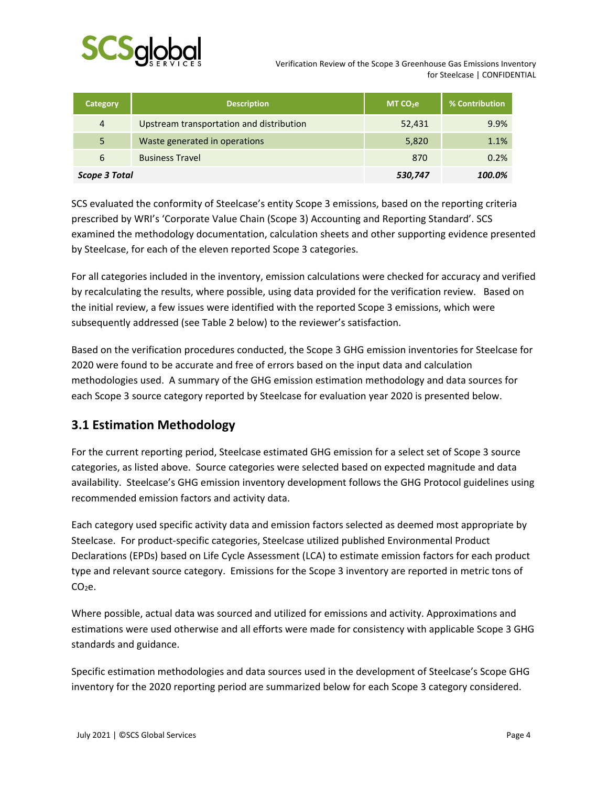

 Verification Review of the Scope 3 Greenhouse Gas Emissions Inventory for Steelcase | CONFIDENTIAL

| Category       | <b>Description</b>                       | MT CO <sub>2</sub> e | % Contribution |
|----------------|------------------------------------------|----------------------|----------------|
| $\overline{4}$ | Upstream transportation and distribution | 52,431               | 9.9%           |
| 5              | Waste generated in operations            | 5,820                | 1.1%           |
| 6              | <b>Business Travel</b>                   | 870                  | 0.2%           |
| Scope 3 Total  |                                          | 530,747              | 100.0%         |

SCS evaluated the conformity of Steelcase's entity Scope 3 emissions, based on the reporting criteria prescribed by WRI's 'Corporate Value Chain (Scope 3) Accounting and Reporting Standard'. SCS examined the methodology documentation, calculation sheets and other supporting evidence presented by Steelcase, for each of the eleven reported Scope 3 categories.

For all categories included in the inventory, emission calculations were checked for accuracy and verified by recalculating the results, where possible, using data provided for the verification review. Based on the initial review, a few issues were identified with the reported Scope 3 emissions, which were subsequently addressed (see Table 2 below) to the reviewer's satisfaction.

Based on the verification procedures conducted, the Scope 3 GHG emission inventories for Steelcase for 2020 were found to be accurate and free of errors based on the input data and calculation methodologies used. A summary of the GHG emission estimation methodology and data sources for each Scope 3 source category reported by Steelcase for evaluation year 2020 is presented below.

#### **3.1 Estimation Methodology**

For the current reporting period, Steelcase estimated GHG emission for a select set of Scope 3 source categories, as listed above. Source categories were selected based on expected magnitude and data availability. Steelcase's GHG emission inventory development follows the GHG Protocol guidelines using recommended emission factors and activity data.

Each category used specific activity data and emission factors selected as deemed most appropriate by Steelcase. For product‐specific categories, Steelcase utilized published Environmental Product Declarations (EPDs) based on Life Cycle Assessment (LCA) to estimate emission factors for each product type and relevant source category. Emissions for the Scope 3 inventory are reported in metric tons of  $CO<sub>2</sub>e.$ 

Where possible, actual data was sourced and utilized for emissions and activity. Approximations and estimations were used otherwise and all efforts were made for consistency with applicable Scope 3 GHG standards and guidance.

Specific estimation methodologies and data sources used in the development of Steelcase's Scope GHG inventory for the 2020 reporting period are summarized below for each Scope 3 category considered.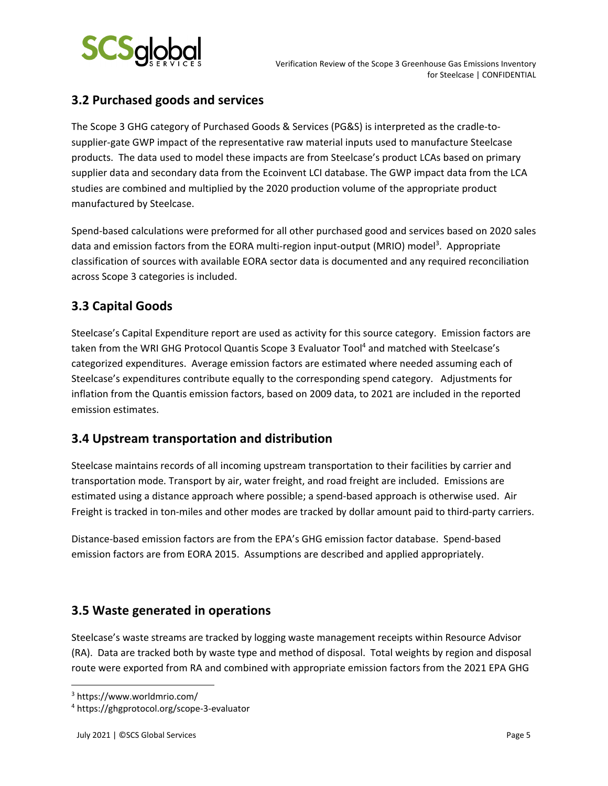

#### **3.2 Purchased goods and services**

The Scope 3 GHG category of Purchased Goods & Services (PG&S) is interpreted as the cradle‐to‐ supplier‐gate GWP impact of the representative raw material inputs used to manufacture Steelcase products. The data used to model these impacts are from Steelcase's product LCAs based on primary supplier data and secondary data from the Ecoinvent LCI database. The GWP impact data from the LCA studies are combined and multiplied by the 2020 production volume of the appropriate product manufactured by Steelcase.

Spend‐based calculations were preformed for all other purchased good and services based on 2020 sales data and emission factors from the EORA multi-region input-output (MRIO) model<sup>3</sup>. Appropriate classification of sources with available EORA sector data is documented and any required reconciliation across Scope 3 categories is included.

#### **3.3 Capital Goods**

Steelcase's Capital Expenditure report are used as activity for this source category. Emission factors are taken from the WRI GHG Protocol Quantis Scope 3 Evaluator Tool<sup>4</sup> and matched with Steelcase's categorized expenditures. Average emission factors are estimated where needed assuming each of Steelcase's expenditures contribute equally to the corresponding spend category. Adjustments for inflation from the Quantis emission factors, based on 2009 data, to 2021 are included in the reported emission estimates.

#### **3.4 Upstream transportation and distribution**

Steelcase maintains records of all incoming upstream transportation to their facilities by carrier and transportation mode. Transport by air, water freight, and road freight are included. Emissions are estimated using a distance approach where possible; a spend‐based approach is otherwise used. Air Freight is tracked in ton‐miles and other modes are tracked by dollar amount paid to third‐party carriers.

Distance‐based emission factors are from the EPA's GHG emission factor database. Spend‐based emission factors are from EORA 2015. Assumptions are described and applied appropriately.

#### **3.5 Waste generated in operations**

Steelcase's waste streams are tracked by logging waste management receipts within Resource Advisor (RA). Data are tracked both by waste type and method of disposal. Total weights by region and disposal route were exported from RA and combined with appropriate emission factors from the 2021 EPA GHG

<sup>3</sup> https://www.worldmrio.com/

<sup>4</sup> https://ghgprotocol.org/scope‐3‐evaluator